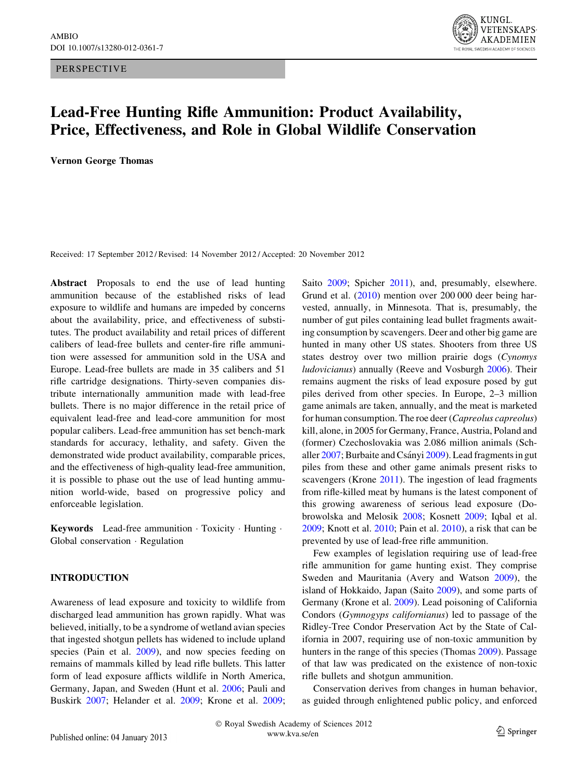PERSPECTIVE



# Lead-Free Hunting Rifle Ammunition: Product Availability, Price, Effectiveness, and Role in Global Wildlife Conservation

Vernon George Thomas

Received: 17 September 2012 / Revised: 14 November 2012 / Accepted: 20 November 2012

Abstract Proposals to end the use of lead hunting ammunition because of the established risks of lead exposure to wildlife and humans are impeded by concerns about the availability, price, and effectiveness of substitutes. The product availability and retail prices of different calibers of lead-free bullets and center-fire rifle ammunition were assessed for ammunition sold in the USA and Europe. Lead-free bullets are made in 35 calibers and 51 rifle cartridge designations. Thirty-seven companies distribute internationally ammunition made with lead-free bullets. There is no major difference in the retail price of equivalent lead-free and lead-core ammunition for most popular calibers. Lead-free ammunition has set bench-mark standards for accuracy, lethality, and safety. Given the demonstrated wide product availability, comparable prices, and the effectiveness of high-quality lead-free ammunition, it is possible to phase out the use of lead hunting ammunition world-wide, based on progressive policy and enforceable legislation.

**Keywords** Lead-free ammunition  $\cdot$  Toxicity  $\cdot$  Hunting  $\cdot$ Global conservation - Regulation

## INTRODUCTION

Awareness of lead exposure and toxicity to wildlife from discharged lead ammunition has grown rapidly. What was believed, initially, to be a syndrome of wetland avian species that ingested shotgun pellets has widened to include upland species (Pain et al. [2009\)](#page-8-0), and now species feeding on remains of mammals killed by lead rifle bullets. This latter form of lead exposure afflicts wildlife in North America, Germany, Japan, and Sweden (Hunt et al. [2006;](#page-8-0) Pauli and Buskirk [2007](#page-8-0); Helander et al. [2009;](#page-8-0) Krone et al. [2009](#page-8-0); Saito [2009;](#page-8-0) Spicher [2011\)](#page-8-0), and, presumably, elsewhere. Grund et al. [\(2010](#page-7-0)) mention over 200 000 deer being harvested, annually, in Minnesota. That is, presumably, the number of gut piles containing lead bullet fragments awaiting consumption by scavengers. Deer and other big game are hunted in many other US states. Shooters from three US states destroy over two million prairie dogs (Cynomys ludovicianus) annually (Reeve and Vosburgh [2006](#page-8-0)). Their remains augment the risks of lead exposure posed by gut piles derived from other species. In Europe, 2–3 million game animals are taken, annually, and the meat is marketed for human consumption. The roe deer (Capreolus capreolus) kill, alone, in 2005 for Germany, France, Austria, Poland and (former) Czechoslovakia was 2.086 million animals (Sch-aller [2007;](#page-8-0) Burbaite and Csányi [2009](#page-7-0)). Lead fragments in gut piles from these and other game animals present risks to scavengers (Krone [2011\)](#page-8-0). The ingestion of lead fragments from rifle-killed meat by humans is the latest component of this growing awareness of serious lead exposure (Dobrowolska and Melosik [2008](#page-7-0); Kosnett [2009;](#page-8-0) Iqbal et al. [2009](#page-8-0); Knott et al. [2010](#page-8-0); Pain et al. [2010](#page-8-0)), a risk that can be prevented by use of lead-free rifle ammunition.

Few examples of legislation requiring use of lead-free rifle ammunition for game hunting exist. They comprise Sweden and Mauritania (Avery and Watson [2009\)](#page-7-0), the island of Hokkaido, Japan (Saito [2009\)](#page-8-0), and some parts of Germany (Krone et al. [2009](#page-8-0)). Lead poisoning of California Condors (Gymnogyps californianus) led to passage of the Ridley-Tree Condor Preservation Act by the State of California in 2007, requiring use of non-toxic ammunition by hunters in the range of this species (Thomas [2009](#page-8-0)). Passage of that law was predicated on the existence of non-toxic rifle bullets and shotgun ammunition.

Conservation derives from changes in human behavior, as guided through enlightened public policy, and enforced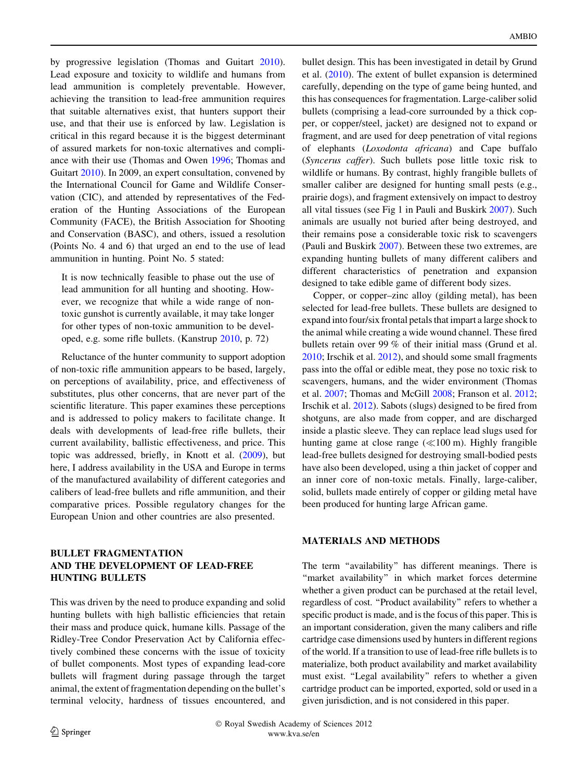by progressive legislation (Thomas and Guitart [2010](#page-8-0)). Lead exposure and toxicity to wildlife and humans from lead ammunition is completely preventable. However, achieving the transition to lead-free ammunition requires that suitable alternatives exist, that hunters support their use, and that their use is enforced by law. Legislation is critical in this regard because it is the biggest determinant of assured markets for non-toxic alternatives and compliance with their use (Thomas and Owen [1996;](#page-8-0) Thomas and Guitart [2010\)](#page-8-0). In 2009, an expert consultation, convened by the International Council for Game and Wildlife Conservation (CIC), and attended by representatives of the Federation of the Hunting Associations of the European Community (FACE), the British Association for Shooting and Conservation (BASC), and others, issued a resolution (Points No. 4 and 6) that urged an end to the use of lead ammunition in hunting. Point No. 5 stated:

It is now technically feasible to phase out the use of lead ammunition for all hunting and shooting. However, we recognize that while a wide range of nontoxic gunshot is currently available, it may take longer for other types of non-toxic ammunition to be developed, e.g. some rifle bullets. (Kanstrup [2010](#page-8-0), p. 72)

Reluctance of the hunter community to support adoption of non-toxic rifle ammunition appears to be based, largely, on perceptions of availability, price, and effectiveness of substitutes, plus other concerns, that are never part of the scientific literature. This paper examines these perceptions and is addressed to policy makers to facilitate change. It deals with developments of lead-free rifle bullets, their current availability, ballistic effectiveness, and price. This topic was addressed, briefly, in Knott et al. ([2009\)](#page-8-0), but here, I address availability in the USA and Europe in terms of the manufactured availability of different categories and calibers of lead-free bullets and rifle ammunition, and their comparative prices. Possible regulatory changes for the European Union and other countries are also presented.

# BULLET FRAGMENTATION AND THE DEVELOPMENT OF LEAD-FREE HUNTING BULLETS

This was driven by the need to produce expanding and solid hunting bullets with high ballistic efficiencies that retain their mass and produce quick, humane kills. Passage of the Ridley-Tree Condor Preservation Act by California effectively combined these concerns with the issue of toxicity of bullet components. Most types of expanding lead-core bullets will fragment during passage through the target animal, the extent of fragmentation depending on the bullet's terminal velocity, hardness of tissues encountered, and bullet design. This has been investigated in detail by Grund et al. ([2010\)](#page-7-0). The extent of bullet expansion is determined carefully, depending on the type of game being hunted, and this has consequences for fragmentation. Large-caliber solid bullets (comprising a lead-core surrounded by a thick copper, or copper/steel, jacket) are designed not to expand or fragment, and are used for deep penetration of vital regions of elephants (Loxodonta africana) and Cape buffalo (Syncerus caffer). Such bullets pose little toxic risk to wildlife or humans. By contrast, highly frangible bullets of smaller caliber are designed for hunting small pests (e.g., prairie dogs), and fragment extensively on impact to destroy all vital tissues (see Fig 1 in Pauli and Buskirk [2007\)](#page-8-0). Such animals are usually not buried after being destroyed, and their remains pose a considerable toxic risk to scavengers (Pauli and Buskirk [2007\)](#page-8-0). Between these two extremes, are expanding hunting bullets of many different calibers and different characteristics of penetration and expansion designed to take edible game of different body sizes.

Copper, or copper–zinc alloy (gilding metal), has been selected for lead-free bullets. These bullets are designed to expand into four/six frontal petals that impart a large shock to the animal while creating a wide wound channel. These fired bullets retain over 99 % of their initial mass (Grund et al. [2010](#page-7-0); Irschik et al. [2012\)](#page-8-0), and should some small fragments pass into the offal or edible meat, they pose no toxic risk to scavengers, humans, and the wider environment (Thomas et al. [2007;](#page-8-0) Thomas and McGill [2008](#page-8-0); Franson et al. [2012](#page-7-0); Irschik et al. [2012\)](#page-8-0). Sabots (slugs) designed to be fired from shotguns, are also made from copper, and are discharged inside a plastic sleeve. They can replace lead slugs used for hunting game at close range  $(\ll 100 \text{ m})$ . Highly frangible lead-free bullets designed for destroying small-bodied pests have also been developed, using a thin jacket of copper and an inner core of non-toxic metals. Finally, large-caliber, solid, bullets made entirely of copper or gilding metal have been produced for hunting large African game.

## MATERIALS AND METHODS

The term "availability" has different meanings. There is "market availability" in which market forces determine whether a given product can be purchased at the retail level, regardless of cost. ''Product availability'' refers to whether a specific product is made, and is the focus of this paper. This is an important consideration, given the many calibers and rifle cartridge case dimensions used by hunters in different regions of the world. If a transition to use of lead-free rifle bullets is to materialize, both product availability and market availability must exist. "Legal availability" refers to whether a given cartridge product can be imported, exported, sold or used in a given jurisdiction, and is not considered in this paper.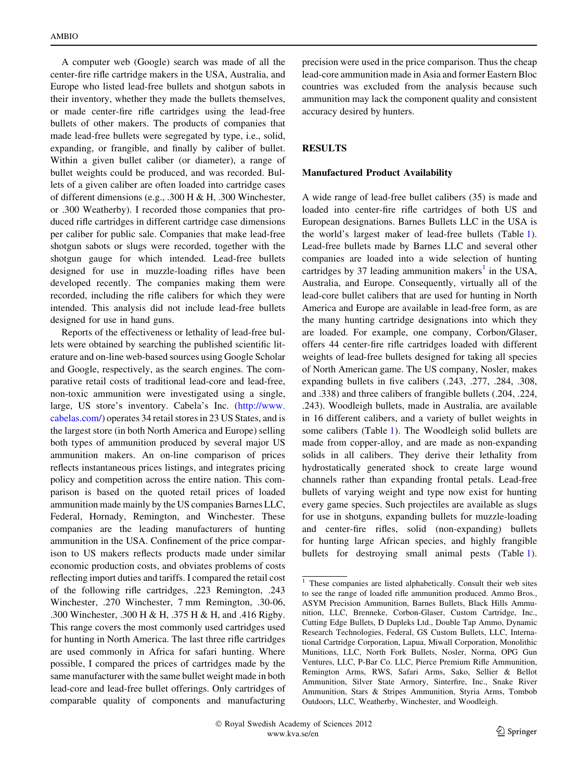A computer web (Google) search was made of all the center-fire rifle cartridge makers in the USA, Australia, and Europe who listed lead-free bullets and shotgun sabots in their inventory, whether they made the bullets themselves, or made center-fire rifle cartridges using the lead-free bullets of other makers. The products of companies that made lead-free bullets were segregated by type, i.e., solid, expanding, or frangible, and finally by caliber of bullet. Within a given bullet caliber (or diameter), a range of bullet weights could be produced, and was recorded. Bullets of a given caliber are often loaded into cartridge cases of different dimensions (e.g., .300 H & H, .300 Winchester, or .300 Weatherby). I recorded those companies that produced rifle cartridges in different cartridge case dimensions per caliber for public sale. Companies that make lead-free shotgun sabots or slugs were recorded, together with the shotgun gauge for which intended. Lead-free bullets designed for use in muzzle-loading rifles have been developed recently. The companies making them were recorded, including the rifle calibers for which they were intended. This analysis did not include lead-free bullets designed for use in hand guns.

Reports of the effectiveness or lethality of lead-free bullets were obtained by searching the published scientific literature and on-line web-based sources using Google Scholar and Google, respectively, as the search engines. The comparative retail costs of traditional lead-core and lead-free, non-toxic ammunition were investigated using a single, large, US store's inventory. Cabela's Inc. [\(http://www.](http://www.cabelas.com/) [cabelas.com/](http://www.cabelas.com/)) operates 34 retail stores in 23 US States, and is the largest store (in both North America and Europe) selling both types of ammunition produced by several major US ammunition makers. An on-line comparison of prices reflects instantaneous prices listings, and integrates pricing policy and competition across the entire nation. This comparison is based on the quoted retail prices of loaded ammunition made mainly by the US companies Barnes LLC, Federal, Hornady, Remington, and Winchester. These companies are the leading manufacturers of hunting ammunition in the USA. Confinement of the price comparison to US makers reflects products made under similar economic production costs, and obviates problems of costs reflecting import duties and tariffs. I compared the retail cost of the following rifle cartridges, .223 Remington, .243 Winchester, .270 Winchester, 7 mm Remington, .30-06, .300 Winchester, .300 H & H, .375 H & H, and .416 Rigby. This range covers the most commonly used cartridges used for hunting in North America. The last three rifle cartridges are used commonly in Africa for safari hunting. Where possible, I compared the prices of cartridges made by the same manufacturer with the same bullet weight made in both lead-core and lead-free bullet offerings. Only cartridges of comparable quality of components and manufacturing precision were used in the price comparison. Thus the cheap lead-core ammunition made in Asia and former Eastern Bloc countries was excluded from the analysis because such ammunition may lack the component quality and consistent accuracy desired by hunters.

## RESULTS

#### Manufactured Product Availability

A wide range of lead-free bullet calibers (35) is made and loaded into center-fire rifle cartridges of both US and European designations. Barnes Bullets LLC in the USA is the world's largest maker of lead-free bullets (Table [1](#page-3-0)). Lead-free bullets made by Barnes LLC and several other companies are loaded into a wide selection of hunting cartridges by 37 leading ammunition makers<sup>1</sup> in the USA, Australia, and Europe. Consequently, virtually all of the lead-core bullet calibers that are used for hunting in North America and Europe are available in lead-free form, as are the many hunting cartridge designations into which they are loaded. For example, one company, Corbon/Glaser, offers 44 center-fire rifle cartridges loaded with different weights of lead-free bullets designed for taking all species of North American game. The US company, Nosler, makes expanding bullets in five calibers (.243, .277, .284, .308, and .338) and three calibers of frangible bullets (.204, .224, .243). Woodleigh bullets, made in Australia, are available in 16 different calibers, and a variety of bullet weights in some calibers (Table [1](#page-3-0)). The Woodleigh solid bullets are made from copper-alloy, and are made as non-expanding solids in all calibers. They derive their lethality from hydrostatically generated shock to create large wound channels rather than expanding frontal petals. Lead-free bullets of varying weight and type now exist for hunting every game species. Such projectiles are available as slugs for use in shotguns, expanding bullets for muzzle-loading and center-fire rifles, solid (non-expanding) bullets for hunting large African species, and highly frangible bullets for destroying small animal pests (Table [1](#page-3-0)).

<sup>&</sup>lt;sup>1</sup> These companies are listed alphabetically. Consult their web sites to see the range of loaded rifle ammunition produced. Ammo Bros., ASYM Precision Ammunition, Barnes Bullets, Black Hills Ammunition, LLC, Brenneke, Corbon-Glaser, Custom Cartridge, Inc., Cutting Edge Bullets, D Dupleks Ltd., Double Tap Ammo, Dynamic Research Technologies, Federal, GS Custom Bullets, LLC, International Cartridge Corporation, Lapua, Miwall Corporation, Monolithic Munitions, LLC, North Fork Bullets, Nosler, Norma, OPG Gun Ventures, LLC, P-Bar Co. LLC, Pierce Premium Rifle Ammunition, Remington Arms, RWS, Safari Arms, Sako, Sellier & Bellot Ammunition, Silver State Armory, Sinterfire, Inc., Snake River Ammunition, Stars & Stripes Ammunition, Styria Arms, Tombob Outdoors, LLC, Weatherby, Winchester, and Woodleigh.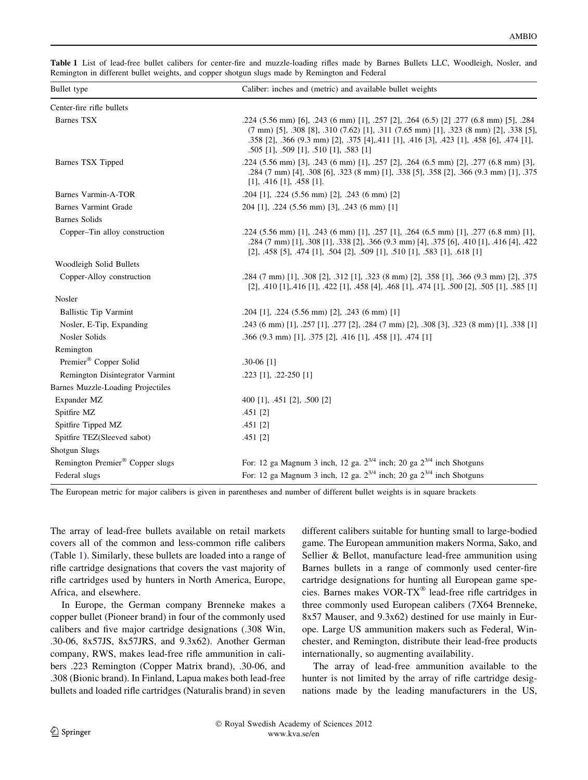| Bullet type                              | Caliber: inches and (metric) and available bullet weights                                                                                                                                                                                                                                                                      |  |  |
|------------------------------------------|--------------------------------------------------------------------------------------------------------------------------------------------------------------------------------------------------------------------------------------------------------------------------------------------------------------------------------|--|--|
| Center-fire rifle bullets                |                                                                                                                                                                                                                                                                                                                                |  |  |
| <b>Barnes TSX</b>                        | .224 (5.56 mm) [6], .243 (6 mm) [1], .257 [2], .264 (6.5) [2] .277 (6.8 mm) [5], .284<br>$(7 \text{ mm})$ [5], .308 [8], .310 (7.62) [1], .311 (7.65 mm) [1], .323 (8 mm) [2], .338 [5],<br>.358 [2], .366 (9.3 mm) [2], .375 [4], .411 [1], .416 [3], .423 [1], .458 [6], .474 [1],<br>.505 [1], .509 [1], .510 [1], .583 [1] |  |  |
| Barnes TSX Tipped                        | .224 (5.56 mm) [3], .243 (6 mm) [1], .257 [2], .264 (6.5 mm) [2], .277 (6.8 mm) [3],<br>.284 (7 mm) [4], .308 [6], .323 (8 mm) [1], .338 [5], .358 [2], .366 (9.3 mm) [1], .375<br>$[1]$ , .416 $[1]$ , .458 $[1]$ .                                                                                                           |  |  |
| Barnes Varmin-A-TOR                      | .204 [1], .224 (5.56 mm) [2], .243 (6 mm) [2]                                                                                                                                                                                                                                                                                  |  |  |
| <b>Barnes Varmint Grade</b>              | 204 [1], .224 (5.56 mm) [3], .243 (6 mm) [1]                                                                                                                                                                                                                                                                                   |  |  |
| <b>Barnes Solids</b>                     |                                                                                                                                                                                                                                                                                                                                |  |  |
| Copper-Tin alloy construction            | .224 (5.56 mm) [1], .243 (6 mm) [1], .257 [1], .264 (6.5 mm) [1], .277 (6.8 mm) [1],<br>.284 (7 mm) [1], .308 [1], .338 [2], .366 (9.3 mm) [4], .375 [6], .410 [1], .416 [4], .422<br>$[2]$ , .458 [5], .474 [1], .504 [2], .509 [1], .510 [1], .583 [1], .618 [1]                                                             |  |  |
| Woodleigh Solid Bullets                  |                                                                                                                                                                                                                                                                                                                                |  |  |
| Copper-Alloy construction                | .284 (7 mm) [1], .308 [2], .312 [1], .323 (8 mm) [2], .358 [1], .366 (9.3 mm) [2], .375<br>$[2]$ , $.410$ $[1]$ , $.416$ $[1]$ , $.422$ $[1]$ , $.458$ $[4]$ , $.468$ $[1]$ , $.474$ $[1]$ , $.500$ $[2]$ , $.505$ $[1]$ , $.585$ $[1]$                                                                                        |  |  |
| Nosler                                   |                                                                                                                                                                                                                                                                                                                                |  |  |
| <b>Ballistic Tip Varmint</b>             | .204 [1], .224 (5.56 mm) [2], .243 (6 mm) [1]                                                                                                                                                                                                                                                                                  |  |  |
| Nosler, E-Tip, Expanding                 | .243 (6 mm) [1], .257 [1], .277 [2], .284 (7 mm) [2], .308 [3], .323 (8 mm) [1], .338 [1]                                                                                                                                                                                                                                      |  |  |
| Nosler Solids                            | .366 (9.3 mm) [1], .375 [2], .416 [1], .458 [1], .474 [1]                                                                                                                                                                                                                                                                      |  |  |
| Remington                                |                                                                                                                                                                                                                                                                                                                                |  |  |
| Premier® Copper Solid                    | $.30-06$ [1]                                                                                                                                                                                                                                                                                                                   |  |  |
| Remington Disintegrator Varmint          | $.223$ [1], $.22-250$ [1]                                                                                                                                                                                                                                                                                                      |  |  |
| <b>Barnes Muzzle-Loading Projectiles</b> |                                                                                                                                                                                                                                                                                                                                |  |  |
| Expander MZ                              | 400 [1], .451 [2], .500 [2]                                                                                                                                                                                                                                                                                                    |  |  |
| Spitfire MZ                              | $.451$ [2]                                                                                                                                                                                                                                                                                                                     |  |  |
| Spitfire Tipped MZ                       | $.451$ [2]                                                                                                                                                                                                                                                                                                                     |  |  |
| Spitfire TEZ(Sleeved sabot)              | $.451$ [2]                                                                                                                                                                                                                                                                                                                     |  |  |
| Shotgun Slugs                            |                                                                                                                                                                                                                                                                                                                                |  |  |
| Remington Premier® Copper slugs          | For: 12 ga Magnum 3 inch, 12 ga. $2^{3/4}$ inch; 20 ga $2^{3/4}$ inch Shotguns                                                                                                                                                                                                                                                 |  |  |
| Federal slugs                            | For: 12 ga Magnum 3 inch, 12 ga. $2^{3/4}$ inch; 20 ga $2^{3/4}$ inch Shotguns                                                                                                                                                                                                                                                 |  |  |

<span id="page-3-0"></span>Table 1 List of lead-free bullet calibers for center-fire and muzzle-loading rifles made by Barnes Bullets LLC, Woodleigh, Nosler, and Remington in different bullet weights, and copper shotgun slugs made by Remington and Federal

The European metric for major calibers is given in parentheses and number of different bullet weights is in square brackets

The array of lead-free bullets available on retail markets covers all of the common and less-common rifle calibers (Table 1). Similarly, these bullets are loaded into a range of rifle cartridge designations that covers the vast majority of rifle cartridges used by hunters in North America, Europe, Africa, and elsewhere.

In Europe, the German company Brenneke makes a copper bullet (Pioneer brand) in four of the commonly used calibers and five major cartridge designations (.308 Win, .30-06, 8x57JS, 8x57JRS, and 9.3x62). Another German company, RWS, makes lead-free rifle ammunition in calibers .223 Remington (Copper Matrix brand), .30-06, and .308 (Bionic brand). In Finland, Lapua makes both lead-free bullets and loaded rifle cartridges (Naturalis brand) in seven different calibers suitable for hunting small to large-bodied game. The European ammunition makers Norma, Sako, and Sellier & Bellot, manufacture lead-free ammunition using Barnes bullets in a range of commonly used center-fire cartridge designations for hunting all European game species. Barnes makes VOR-T $X^{\otimes}$  lead-free rifle cartridges in three commonly used European calibers (7X64 Brenneke, 8x57 Mauser, and 9.3x62) destined for use mainly in Europe. Large US ammunition makers such as Federal, Winchester, and Remington, distribute their lead-free products internationally, so augmenting availability.

The array of lead-free ammunition available to the hunter is not limited by the array of rifle cartridge designations made by the leading manufacturers in the US,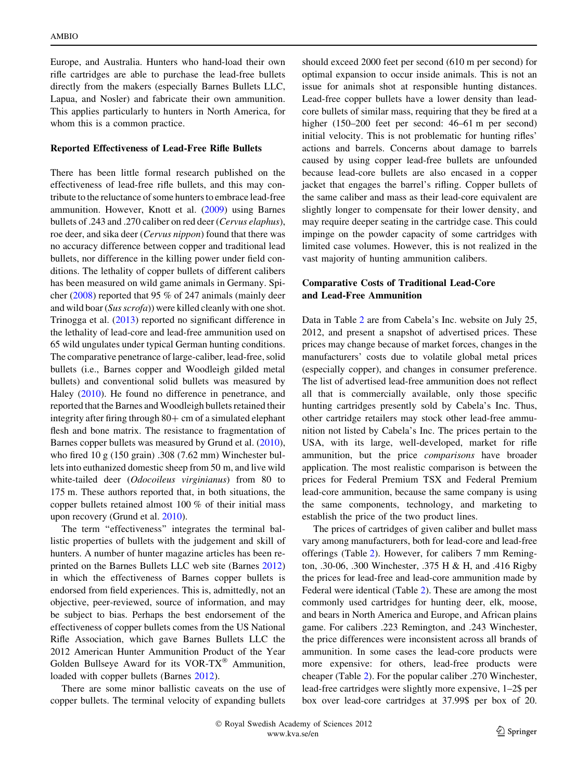Europe, and Australia. Hunters who hand-load their own rifle cartridges are able to purchase the lead-free bullets directly from the makers (especially Barnes Bullets LLC, Lapua, and Nosler) and fabricate their own ammunition. This applies particularly to hunters in North America, for whom this is a common practice.

#### Reported Effectiveness of Lead-Free Rifle Bullets

There has been little formal research published on the effectiveness of lead-free rifle bullets, and this may contribute to the reluctance of some hunters to embrace lead-free ammunition. However, Knott et al. [\(2009](#page-8-0)) using Barnes bullets of .243 and .270 caliber on red deer (Cervus elaphus), roe deer, and sika deer (Cervus nippon) found that there was no accuracy difference between copper and traditional lead bullets, nor difference in the killing power under field conditions. The lethality of copper bullets of different calibers has been measured on wild game animals in Germany. Spicher [\(2008](#page-8-0)) reported that 95 % of 247 animals (mainly deer and wild boar (Sus scrofa)) were killed cleanly with one shot. Trinogga et al. [\(2013](#page-8-0)) reported no significant difference in the lethality of lead-core and lead-free ammunition used on 65 wild ungulates under typical German hunting conditions. The comparative penetrance of large-caliber, lead-free, solid bullets (i.e., Barnes copper and Woodleigh gilded metal bullets) and conventional solid bullets was measured by Haley [\(2010](#page-7-0)). He found no difference in penetrance, and reported that the Barnes and Woodleigh bullets retained their integrity after firing through  $80+$  cm of a simulated elephant flesh and bone matrix. The resistance to fragmentation of Barnes copper bullets was measured by Grund et al. [\(2010](#page-7-0)), who fired 10 g (150 grain) .308 (7.62 mm) Winchester bullets into euthanized domestic sheep from 50 m, and live wild white-tailed deer (Odocoileus virginianus) from 80 to 175 m. These authors reported that, in both situations, the copper bullets retained almost 100 % of their initial mass upon recovery (Grund et al. [2010](#page-7-0)).

The term ''effectiveness'' integrates the terminal ballistic properties of bullets with the judgement and skill of hunters. A number of hunter magazine articles has been reprinted on the Barnes Bullets LLC web site (Barnes [2012\)](#page-7-0) in which the effectiveness of Barnes copper bullets is endorsed from field experiences. This is, admittedly, not an objective, peer-reviewed, source of information, and may be subject to bias. Perhaps the best endorsement of the effectiveness of copper bullets comes from the US National Rifle Association, which gave Barnes Bullets LLC the 2012 American Hunter Ammunition Product of the Year Golden Bullseye Award for its VOR-TX® Ammunition, loaded with copper bullets (Barnes [2012](#page-7-0)).

There are some minor ballistic caveats on the use of copper bullets. The terminal velocity of expanding bullets should exceed 2000 feet per second (610 m per second) for optimal expansion to occur inside animals. This is not an issue for animals shot at responsible hunting distances. Lead-free copper bullets have a lower density than leadcore bullets of similar mass, requiring that they be fired at a higher (150–200 feet per second: 46–61 m per second) initial velocity. This is not problematic for hunting rifles' actions and barrels. Concerns about damage to barrels caused by using copper lead-free bullets are unfounded because lead-core bullets are also encased in a copper jacket that engages the barrel's rifling. Copper bullets of the same caliber and mass as their lead-core equivalent are slightly longer to compensate for their lower density, and may require deeper seating in the cartridge case. This could impinge on the powder capacity of some cartridges with limited case volumes. However, this is not realized in the vast majority of hunting ammunition calibers.

# Comparative Costs of Traditional Lead-Core and Lead-Free Ammunition

Data in Table [2](#page-5-0) are from Cabela's Inc. website on July 25, 2012, and present a snapshot of advertised prices. These prices may change because of market forces, changes in the manufacturers' costs due to volatile global metal prices (especially copper), and changes in consumer preference. The list of advertised lead-free ammunition does not reflect all that is commercially available, only those specific hunting cartridges presently sold by Cabela's Inc. Thus, other cartridge retailers may stock other lead-free ammunition not listed by Cabela's Inc. The prices pertain to the USA, with its large, well-developed, market for rifle ammunition, but the price comparisons have broader application. The most realistic comparison is between the prices for Federal Premium TSX and Federal Premium lead-core ammunition, because the same company is using the same components, technology, and marketing to establish the price of the two product lines.

The prices of cartridges of given caliber and bullet mass vary among manufacturers, both for lead-core and lead-free offerings (Table [2\)](#page-5-0). However, for calibers 7 mm Remington, .30-06, .300 Winchester, .375 H & H, and .416 Rigby the prices for lead-free and lead-core ammunition made by Federal were identical (Table [2](#page-5-0)). These are among the most commonly used cartridges for hunting deer, elk, moose, and bears in North America and Europe, and African plains game. For calibers .223 Remington, and .243 Winchester, the price differences were inconsistent across all brands of ammunition. In some cases the lead-core products were more expensive: for others, lead-free products were cheaper (Table [2\)](#page-5-0). For the popular caliber .270 Winchester, lead-free cartridges were slightly more expensive, 1–2\$ per box over lead-core cartridges at 37.99\$ per box of 20.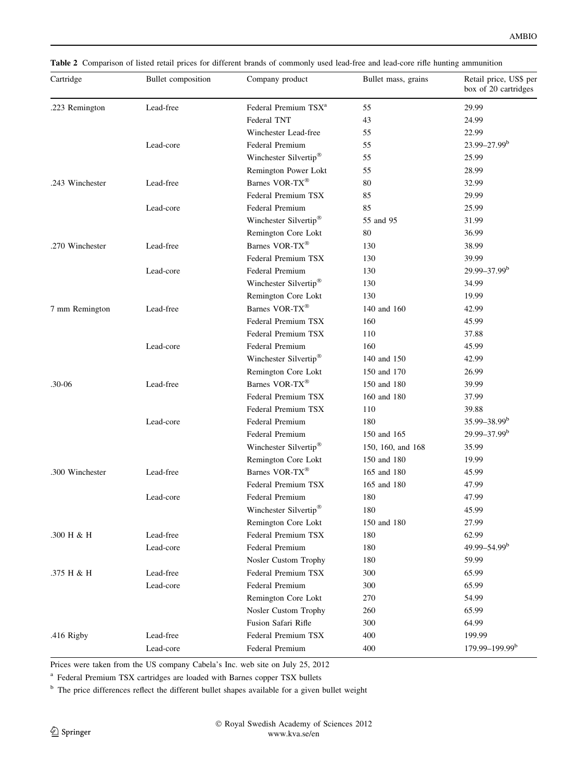| Cartridge       | Bullet composition | Company product                   | Bullet mass, grains | Retail price, US\$ per<br>box of 20 cartridges |
|-----------------|--------------------|-----------------------------------|---------------------|------------------------------------------------|
| .223 Remington  | Lead-free          | Federal Premium TSX <sup>a</sup>  | 55                  | 29.99                                          |
|                 |                    | Federal TNT                       | 43                  | 24.99                                          |
|                 |                    | Winchester Lead-free              | 55                  | 22.99                                          |
|                 | Lead-core          | Federal Premium                   | 55                  | 23.99-27.99 <sup>b</sup>                       |
|                 |                    | Winchester Silvertip®             | 55                  | 25.99                                          |
|                 |                    | Remington Power Lokt              | 55                  | 28.99                                          |
| .243 Winchester | Lead-free          | Barnes VOR-TX®                    | 80                  | 32.99                                          |
|                 |                    | Federal Premium TSX               | 85                  | 29.99                                          |
|                 | Lead-core          | <b>Federal Premium</b>            | 85                  | 25.99                                          |
|                 |                    | Winchester Silvertip®             | 55 and 95           | 31.99                                          |
|                 |                    | Remington Core Lokt               | 80                  | 36.99                                          |
| .270 Winchester | Lead-free          | Barnes VOR-TX®                    | 130                 | 38.99                                          |
|                 |                    | Federal Premium TSX               | 130                 | 39.99                                          |
|                 | Lead-core          | Federal Premium                   | 130                 | $29.99 - 37.99^b$                              |
|                 |                    | Winchester Silvertip®             | 130                 | 34.99                                          |
|                 |                    | Remington Core Lokt               | 130                 | 19.99                                          |
| 7 mm Remington  | Lead-free          | Barnes VOR-TX®                    | 140 and 160         | 42.99                                          |
|                 |                    | Federal Premium TSX               | 160                 | 45.99                                          |
|                 |                    | Federal Premium TSX               | 110                 | 37.88                                          |
|                 | Lead-core          | Federal Premium                   | 160                 | 45.99                                          |
|                 |                    | Winchester Silvertip®             | 140 and 150         | 42.99                                          |
|                 |                    | Remington Core Lokt               | 150 and 170         | 26.99                                          |
| $.30 - 06$      | Lead-free          | Barnes VOR-TX®                    | 150 and 180         | 39.99                                          |
|                 |                    | Federal Premium TSX               | 160 and 180         | 37.99                                          |
|                 |                    | Federal Premium TSX               | 110                 | 39.88                                          |
|                 | Lead-core          | Federal Premium                   | 180                 | 35.99-38.99 <sup>b</sup>                       |
|                 |                    | Federal Premium                   | 150 and 165         | 29.99-37.99 <sup>b</sup>                       |
|                 |                    | Winchester Silvertip <sup>®</sup> | 150, 160, and 168   | 35.99                                          |
|                 |                    | Remington Core Lokt               | 150 and 180         | 19.99                                          |
| .300 Winchester | Lead-free          | Barnes VOR-TX®                    | 165 and 180         | 45.99                                          |
|                 |                    | Federal Premium TSX               | 165 and 180         | 47.99                                          |
|                 | Lead-core          | Federal Premium                   | 180                 | 47.99                                          |
|                 |                    | Winchester Silvertip®             | 180                 | 45.99                                          |
|                 |                    | Remington Core Lokt               | 150 and 180         | 27.99                                          |
| .300 H & H      | Lead-free          | Federal Premium TSX               | 180                 | 62.99                                          |
|                 | Lead-core          | Federal Premium                   | 180                 | 49.99–54.99 <sup>b</sup>                       |
|                 |                    | Nosler Custom Trophy              | 180                 | 59.99                                          |
| .375 H & H      | Lead-free          | Federal Premium TSX               | 300                 | 65.99                                          |
|                 | Lead-core          | <b>Federal Premium</b>            | 300                 | 65.99                                          |
|                 |                    | Remington Core Lokt               | 270                 | 54.99                                          |
|                 |                    | Nosler Custom Trophy              | 260                 | 65.99                                          |
|                 |                    | Fusion Safari Rifle               | 300                 | 64.99                                          |
| .416 Rigby      | Lead-free          | Federal Premium TSX               | 400                 | 199.99                                         |
|                 | Lead-core          | Federal Premium                   | 400                 | 179.99-199.99 <sup>b</sup>                     |

<span id="page-5-0"></span>Table 2 Comparison of listed retail prices for different brands of commonly used lead-free and lead-core rifle hunting ammunition

Prices were taken from the US company Cabela's Inc. web site on July 25, 2012

<sup>a</sup> Federal Premium TSX cartridges are loaded with Barnes copper TSX bullets

<sup>b</sup> The price differences reflect the different bullet shapes available for a given bullet weight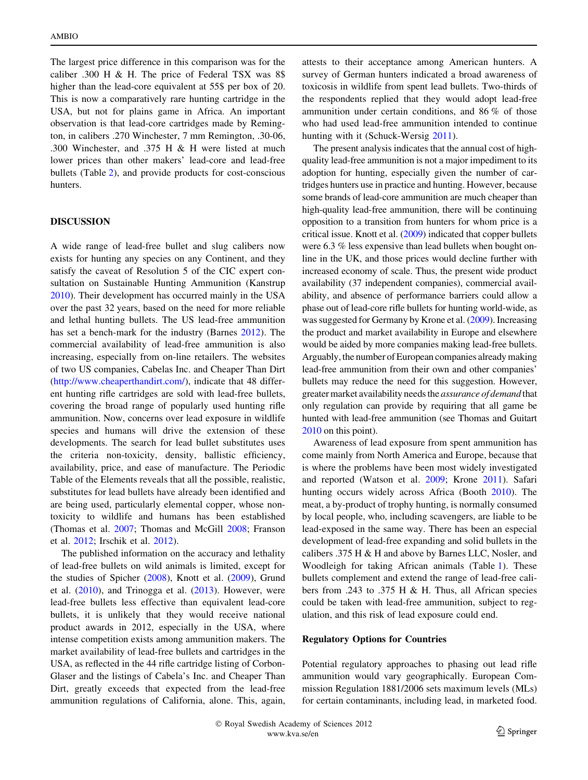The largest price difference in this comparison was for the caliber .300 H & H. The price of Federal TSX was 8\$ higher than the lead-core equivalent at 55\$ per box of 20. This is now a comparatively rare hunting cartridge in the USA, but not for plains game in Africa. An important observation is that lead-core cartridges made by Remington, in calibers .270 Winchester, 7 mm Remington, .30-06, .300 Winchester, and .375 H & H were listed at much lower prices than other makers' lead-core and lead-free bullets (Table [2](#page-5-0)), and provide products for cost-conscious hunters.

## DISCUSSION

A wide range of lead-free bullet and slug calibers now exists for hunting any species on any Continent, and they satisfy the caveat of Resolution 5 of the CIC expert consultation on Sustainable Hunting Ammunition (Kanstrup [2010\)](#page-8-0). Their development has occurred mainly in the USA over the past 32 years, based on the need for more reliable and lethal hunting bullets. The US lead-free ammunition has set a bench-mark for the industry (Barnes [2012](#page-7-0)). The commercial availability of lead-free ammunition is also increasing, especially from on-line retailers. The websites of two US companies, Cabelas Inc. and Cheaper Than Dirt [\(http://www.cheaperthandirt.com/](http://www.cheaperthandirt.com/)), indicate that 48 different hunting rifle cartridges are sold with lead-free bullets, covering the broad range of popularly used hunting rifle ammunition. Now, concerns over lead exposure in wildlife species and humans will drive the extension of these developments. The search for lead bullet substitutes uses the criteria non-toxicity, density, ballistic efficiency, availability, price, and ease of manufacture. The Periodic Table of the Elements reveals that all the possible, realistic, substitutes for lead bullets have already been identified and are being used, particularly elemental copper, whose nontoxicity to wildlife and humans has been established (Thomas et al. [2007;](#page-8-0) Thomas and McGill [2008](#page-8-0); Franson et al. [2012;](#page-7-0) Irschik et al. [2012\)](#page-8-0).

The published information on the accuracy and lethality of lead-free bullets on wild animals is limited, except for the studies of Spicher [\(2008](#page-8-0)), Knott et al. ([2009\)](#page-8-0), Grund et al. [\(2010](#page-7-0)), and Trinogga et al. ([2013\)](#page-8-0). However, were lead-free bullets less effective than equivalent lead-core bullets, it is unlikely that they would receive national product awards in 2012, especially in the USA, where intense competition exists among ammunition makers. The market availability of lead-free bullets and cartridges in the USA, as reflected in the 44 rifle cartridge listing of Corbon-Glaser and the listings of Cabela's Inc. and Cheaper Than Dirt, greatly exceeds that expected from the lead-free ammunition regulations of California, alone. This, again,

attests to their acceptance among American hunters. A survey of German hunters indicated a broad awareness of toxicosis in wildlife from spent lead bullets. Two-thirds of the respondents replied that they would adopt lead-free ammunition under certain conditions, and 86 % of those who had used lead-free ammunition intended to continue hunting with it (Schuck-Wersig [2011](#page-8-0)).

The present analysis indicates that the annual cost of highquality lead-free ammunition is not a major impediment to its adoption for hunting, especially given the number of cartridges hunters use in practice and hunting. However, because some brands of lead-core ammunition are much cheaper than high-quality lead-free ammunition, there will be continuing opposition to a transition from hunters for whom price is a critical issue. Knott et al. ([2009](#page-8-0)) indicated that copper bullets were 6.3 % less expensive than lead bullets when bought online in the UK, and those prices would decline further with increased economy of scale. Thus, the present wide product availability (37 independent companies), commercial availability, and absence of performance barriers could allow a phase out of lead-core rifle bullets for hunting world-wide, as was suggested for Germany by Krone et al. [\(2009](#page-8-0)). Increasing the product and market availability in Europe and elsewhere would be aided by more companies making lead-free bullets. Arguably, the number of European companies already making lead-free ammunition from their own and other companies' bullets may reduce the need for this suggestion. However, greater market availability needs the assurance of demand that only regulation can provide by requiring that all game be hunted with lead-free ammunition (see Thomas and Guitart [2010](#page-8-0) on this point).

Awareness of lead exposure from spent ammunition has come mainly from North America and Europe, because that is where the problems have been most widely investigated and reported (Watson et al. [2009](#page-8-0); Krone [2011](#page-8-0)). Safari hunting occurs widely across Africa (Booth [2010\)](#page-7-0). The meat, a by-product of trophy hunting, is normally consumed by local people, who, including scavengers, are liable to be lead-exposed in the same way. There has been an especial development of lead-free expanding and solid bullets in the calibers .375 H & H and above by Barnes LLC, Nosler, and Woodleigh for taking African animals (Table [1](#page-3-0)). These bullets complement and extend the range of lead-free calibers from .243 to .375 H & H. Thus, all African species could be taken with lead-free ammunition, subject to regulation, and this risk of lead exposure could end.

### Regulatory Options for Countries

Potential regulatory approaches to phasing out lead rifle ammunition would vary geographically. European Commission Regulation 1881/2006 sets maximum levels (MLs) for certain contaminants, including lead, in marketed food.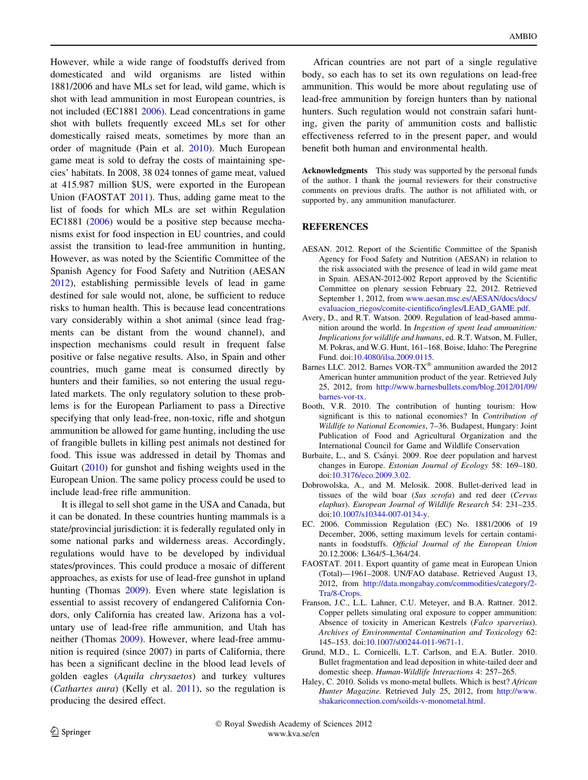<span id="page-7-0"></span>However, while a wide range of foodstuffs derived from domesticated and wild organisms are listed within 1881/2006 and have MLs set for lead, wild game, which is shot with lead ammunition in most European countries, is not included (EC1881 2006). Lead concentrations in game shot with bullets frequently exceed MLs set for other domestically raised meats, sometimes by more than an order of magnitude (Pain et al. [2010](#page-8-0)). Much European game meat is sold to defray the costs of maintaining species' habitats. In 2008, 38 024 tonnes of game meat, valued at 415.987 million \$US, were exported in the European Union (FAOSTAT 2011). Thus, adding game meat to the list of foods for which MLs are set within Regulation EC1881 (2006) would be a positive step because mechanisms exist for food inspection in EU countries, and could assist the transition to lead-free ammunition in hunting, However, as was noted by the Scientific Committee of the Spanish Agency for Food Safety and Nutrition (AESAN 2012), establishing permissible levels of lead in game destined for sale would not, alone, be sufficient to reduce risks to human health. This is because lead concentrations vary considerably within a shot animal (since lead fragments can be distant from the wound channel), and inspection mechanisms could result in frequent false positive or false negative results. Also, in Spain and other countries, much game meat is consumed directly by hunters and their families, so not entering the usual regulated markets. The only regulatory solution to these problems is for the European Parliament to pass a Directive specifying that only lead-free, non-toxic, rifle and shotgun ammunition be allowed for game hunting, including the use of frangible bullets in killing pest animals not destined for food. This issue was addressed in detail by Thomas and Guitart ([2010\)](#page-8-0) for gunshot and fishing weights used in the European Union. The same policy process could be used to include lead-free rifle ammunition.

It is illegal to sell shot game in the USA and Canada, but it can be donated. In these countries hunting mammals is a state/provincial jurisdiction: it is federally regulated only in some national parks and wilderness areas. Accordingly, regulations would have to be developed by individual states/provinces. This could produce a mosaic of different approaches, as exists for use of lead-free gunshot in upland hunting (Thomas [2009\)](#page-8-0). Even where state legislation is essential to assist recovery of endangered California Condors, only California has created law. Arizona has a voluntary use of lead-free rifle ammunition, and Utah has neither (Thomas [2009\)](#page-8-0). However, where lead-free ammunition is required (since 2007) in parts of California, there has been a significant decline in the blood lead levels of golden eagles (Aquila chrysaetos) and turkey vultures (Cathartes aura) (Kelly et al. [2011\)](#page-8-0), so the regulation is producing the desired effect.

African countries are not part of a single regulative body, so each has to set its own regulations on lead-free ammunition. This would be more about regulating use of lead-free ammunition by foreign hunters than by national hunters. Such regulation would not constrain safari hunting, given the parity of ammunition costs and ballistic effectiveness referred to in the present paper, and would benefit both human and environmental health.

Acknowledgments This study was supported by the personal funds of the author. I thank the journal reviewers for their constructive comments on previous drafts. The author is not affiliated with, or supported by, any ammunition manufacturer.

## **REFERENCES**

- AESAN. 2012. Report of the Scientific Committee of the Spanish Agency for Food Safety and Nutrition (AESAN) in relation to the risk associated with the presence of lead in wild game meat in Spain. AESAN-2012-002 Report approved by the Scientific Committee on plenary session February 22, 2012. Retrieved September 1, 2012, from [www.aesan.msc.es/AESAN/docs/docs/](http://www.aesan.msc.es/AESAN/docs/docs/evaluacion_riegos/comite-cientifico/ingles/LEAD_GAME.pdf) [evaluacion\\_riegos/comite-cientifico/ingles/LEAD\\_GAME.pdf](http://www.aesan.msc.es/AESAN/docs/docs/evaluacion_riegos/comite-cientifico/ingles/LEAD_GAME.pdf).
- Avery, D., and R.T. Watson. 2009. Regulation of lead-based ammunition around the world. In Ingestion of spent lead ammunition: Implications for wildlife and humans, ed. R.T. Watson, M. Fuller, M. Pokras, and W.G. Hunt, 161–168. Boise, Idaho: The Peregrine Fund. doi:[10.4080/ilsa.2009.0115.](http://dx.doi.org/10.4080/ilsa.2009.0115)
- Barnes LLC. 2012. Barnes VOR-TX® ammunition awarded the 2012 American hunter ammunition product of the year. Retrieved July 25, 2012, from [http://www.barnesbullets.com/blog.2012/01/09/](http://www.barnesbullets.com/blog.2012/01/09/barnes-vor-tx) [barnes-vor-tx.](http://www.barnesbullets.com/blog.2012/01/09/barnes-vor-tx)
- Booth, V.R. 2010. The contribution of hunting tourism: How significant is this to national economies? In Contribution of Wildlife to National Economies, 7–36. Budapest, Hungary: Joint Publication of Food and Agricultural Organization and the International Council for Game and Wildlife Conservation
- Burbaite, L., and S. Csányi. 2009. Roe deer population and harvest changes in Europe. Estonian Journal of Ecology 58: 169–180. doi[:10.3176/eco.2009.3.02](http://dx.doi.org/10.3176/eco.2009.3.02).
- Dobrowolska, A., and M. Melosik. 2008. Bullet-derived lead in tissues of the wild boar (Sus scrofa) and red deer (Cervus elaphus). European Journal of Wildlife Research 54: 231–235. doi[:10.1007/s10344-007-0134-y](http://dx.doi.org/10.1007/s10344-007-0134-y).
- EC. 2006. Commission Regulation (EC) No. 1881/2006 of 19 December, 2006, setting maximum levels for certain contaminants in foodstuffs. Official Journal of the European Union 20.12.2006: L364/5–L364/24.
- FAOSTAT. 2011. Export quantity of game meat in European Union (Total)—1961–2008. UN/FAO database. Retrieved August 13, 2012, from [http://data.mongabay.com/commodities/category/2-](http://data.mongabay.com/commodities/category/2-Tra/8-Crops) [Tra/8-Crops.](http://data.mongabay.com/commodities/category/2-Tra/8-Crops)
- Franson, J.C., L.L. Lahner, C.U. Meteyer, and B.A. Rattner. 2012. Copper pellets simulating oral exposure to copper ammunition: Absence of toxicity in American Kestrels (Falco sparverius). Archives of Environmental Contamination and Toxicology 62: 145–153. doi:[10.1007/s00244-011-9671-1.](http://dx.doi.org/10.1007/s00244-011-9671-1)
- Grund, M.D., L. Cornicelli, L.T. Carlson, and E.A. Butler. 2010. Bullet fragmentation and lead deposition in white-tailed deer and domestic sheep. Human-Wildlife Interactions 4: 257–265.
- Haley, C. 2010. Solids vs mono-metal bullets. Which is best? African Hunter Magazine. Retrieved July 25, 2012, from [http://www.](http://www.shakariconnection.com/soilds-v-monometal.html) [shakariconnection.com/soilds-v-monometal.html.](http://www.shakariconnection.com/soilds-v-monometal.html)

 $©$  Royal Swedish Academy of Sciences 2012 www.kva.se/en